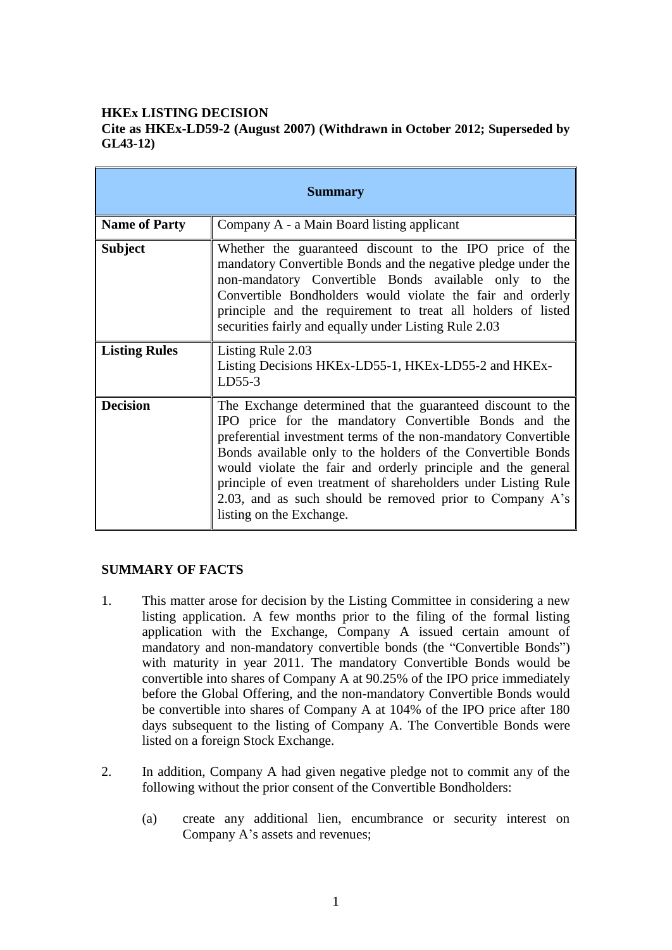# **HKEx LISTING DECISION**

# **Cite as HKEx-LD59-2 (August 2007) (Withdrawn in October 2012; Superseded by GL43-12)**

| <b>Summary</b>       |                                                                                                                                                                                                                                                                                                                                                                                                                                                                                  |
|----------------------|----------------------------------------------------------------------------------------------------------------------------------------------------------------------------------------------------------------------------------------------------------------------------------------------------------------------------------------------------------------------------------------------------------------------------------------------------------------------------------|
| <b>Name of Party</b> | Company A - a Main Board listing applicant                                                                                                                                                                                                                                                                                                                                                                                                                                       |
| <b>Subject</b>       | Whether the guaranteed discount to the IPO price of the<br>mandatory Convertible Bonds and the negative pledge under the<br>non-mandatory Convertible Bonds available only to the<br>Convertible Bondholders would violate the fair and orderly<br>principle and the requirement to treat all holders of listed<br>securities fairly and equally under Listing Rule 2.03                                                                                                         |
| <b>Listing Rules</b> | Listing Rule 2.03<br>Listing Decisions HKEx-LD55-1, HKEx-LD55-2 and HKEx-<br>$LD55-3$                                                                                                                                                                                                                                                                                                                                                                                            |
| <b>Decision</b>      | The Exchange determined that the guaranteed discount to the<br>IPO price for the mandatory Convertible Bonds and the<br>preferential investment terms of the non-mandatory Convertible<br>Bonds available only to the holders of the Convertible Bonds<br>would violate the fair and orderly principle and the general<br>principle of even treatment of shareholders under Listing Rule<br>2.03, and as such should be removed prior to Company A's<br>listing on the Exchange. |

## **SUMMARY OF FACTS**

- 1. This matter arose for decision by the Listing Committee in considering a new listing application. A few months prior to the filing of the formal listing application with the Exchange, Company A issued certain amount of mandatory and non-mandatory convertible bonds (the "Convertible Bonds") with maturity in year 2011. The mandatory Convertible Bonds would be convertible into shares of Company A at 90.25% of the IPO price immediately before the Global Offering, and the non-mandatory Convertible Bonds would be convertible into shares of Company A at 104% of the IPO price after 180 days subsequent to the listing of Company A. The Convertible Bonds were listed on a foreign Stock Exchange.
- 2. In addition, Company A had given negative pledge not to commit any of the following without the prior consent of the Convertible Bondholders:
	- (a) create any additional lien, encumbrance or security interest on Company A's assets and revenues;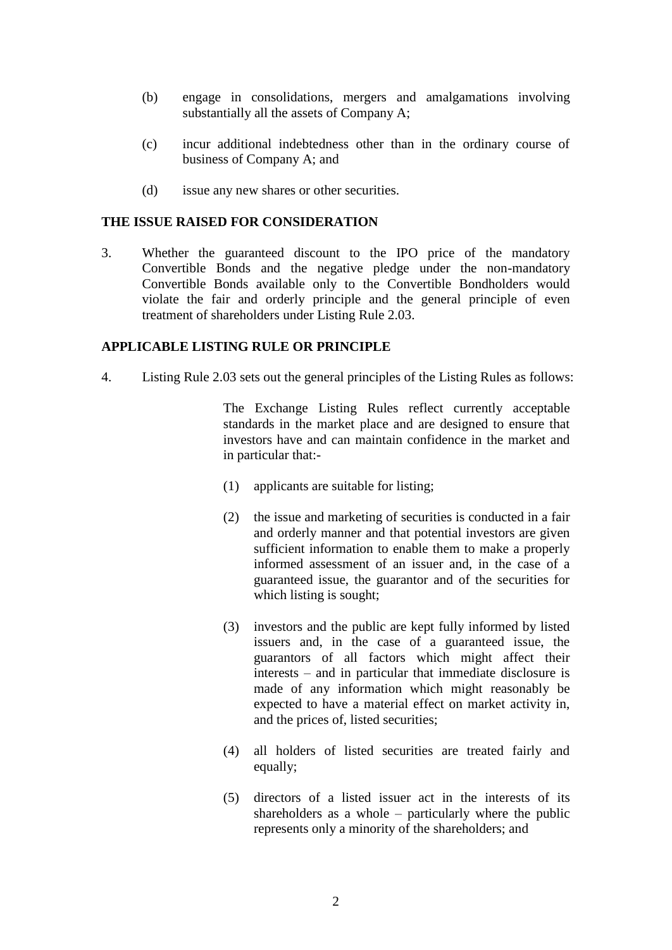- (b) engage in consolidations, mergers and amalgamations involving substantially all the assets of Company A;
- (c) incur additional indebtedness other than in the ordinary course of business of Company A; and
- (d) issue any new shares or other securities.

#### **THE ISSUE RAISED FOR CONSIDERATION**

3. Whether the guaranteed discount to the IPO price of the mandatory Convertible Bonds and the negative pledge under the non-mandatory Convertible Bonds available only to the Convertible Bondholders would violate the fair and orderly principle and the general principle of even treatment of shareholders under Listing Rule 2.03.

### **APPLICABLE LISTING RULE OR PRINCIPLE**

4. Listing Rule 2.03 sets out the general principles of the Listing Rules as follows:

The Exchange Listing Rules reflect currently acceptable standards in the market place and are designed to ensure that investors have and can maintain confidence in the market and in particular that:-

- (1) applicants are suitable for listing;
- (2) the issue and marketing of securities is conducted in a fair and orderly manner and that potential investors are given sufficient information to enable them to make a properly informed assessment of an issuer and, in the case of a guaranteed issue, the guarantor and of the securities for which listing is sought;
- (3) investors and the public are kept fully informed by listed issuers and, in the case of a guaranteed issue, the guarantors of all factors which might affect their interests – and in particular that immediate disclosure is made of any information which might reasonably be expected to have a material effect on market activity in, and the prices of, listed securities;
- (4) all holders of listed securities are treated fairly and equally;
- (5) directors of a listed issuer act in the interests of its shareholders as a whole – particularly where the public represents only a minority of the shareholders; and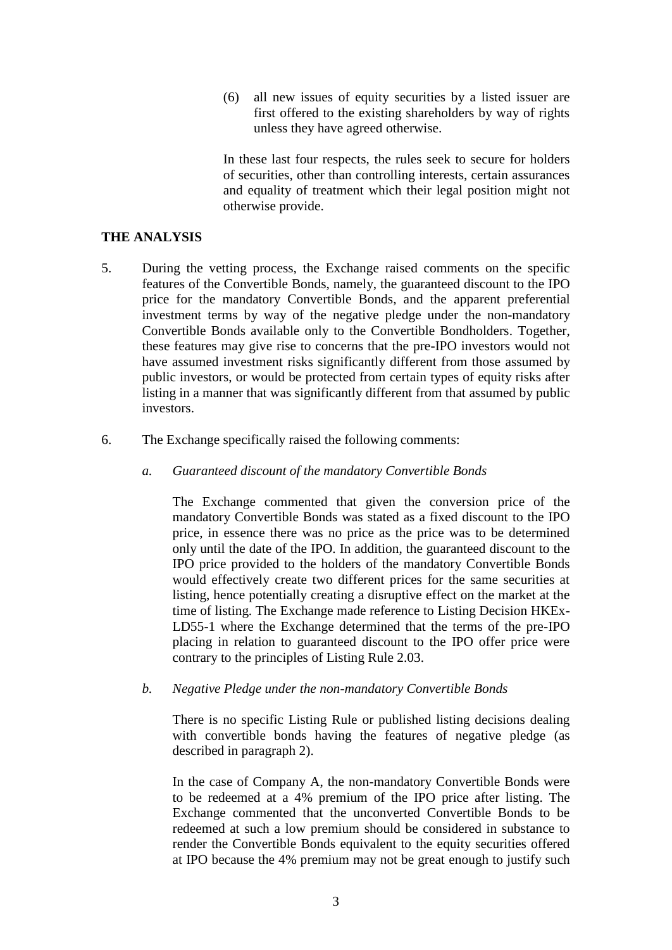(6) all new issues of equity securities by a listed issuer are first offered to the existing shareholders by way of rights unless they have agreed otherwise.

In these last four respects, the rules seek to secure for holders of securities, other than controlling interests, certain assurances and equality of treatment which their legal position might not otherwise provide.

### **THE ANALYSIS**

- 5. During the vetting process, the Exchange raised comments on the specific features of the Convertible Bonds, namely, the guaranteed discount to the IPO price for the mandatory Convertible Bonds, and the apparent preferential investment terms by way of the negative pledge under the non-mandatory Convertible Bonds available only to the Convertible Bondholders. Together, these features may give rise to concerns that the pre-IPO investors would not have assumed investment risks significantly different from those assumed by public investors, or would be protected from certain types of equity risks after listing in a manner that was significantly different from that assumed by public investors.
- 6. The Exchange specifically raised the following comments:
	- *a. Guaranteed discount of the mandatory Convertible Bonds*

The Exchange commented that given the conversion price of the mandatory Convertible Bonds was stated as a fixed discount to the IPO price, in essence there was no price as the price was to be determined only until the date of the IPO. In addition, the guaranteed discount to the IPO price provided to the holders of the mandatory Convertible Bonds would effectively create two different prices for the same securities at listing, hence potentially creating a disruptive effect on the market at the time of listing. The Exchange made reference to Listing Decision HKEx-LD55-1 where the Exchange determined that the terms of the pre-IPO placing in relation to guaranteed discount to the IPO offer price were contrary to the principles of Listing Rule 2.03.

*b. Negative Pledge under the non-mandatory Convertible Bonds*

There is no specific Listing Rule or published listing decisions dealing with convertible bonds having the features of negative pledge (as described in paragraph 2).

In the case of Company A, the non-mandatory Convertible Bonds were to be redeemed at a 4% premium of the IPO price after listing. The Exchange commented that the unconverted Convertible Bonds to be redeemed at such a low premium should be considered in substance to render the Convertible Bonds equivalent to the equity securities offered at IPO because the 4% premium may not be great enough to justify such